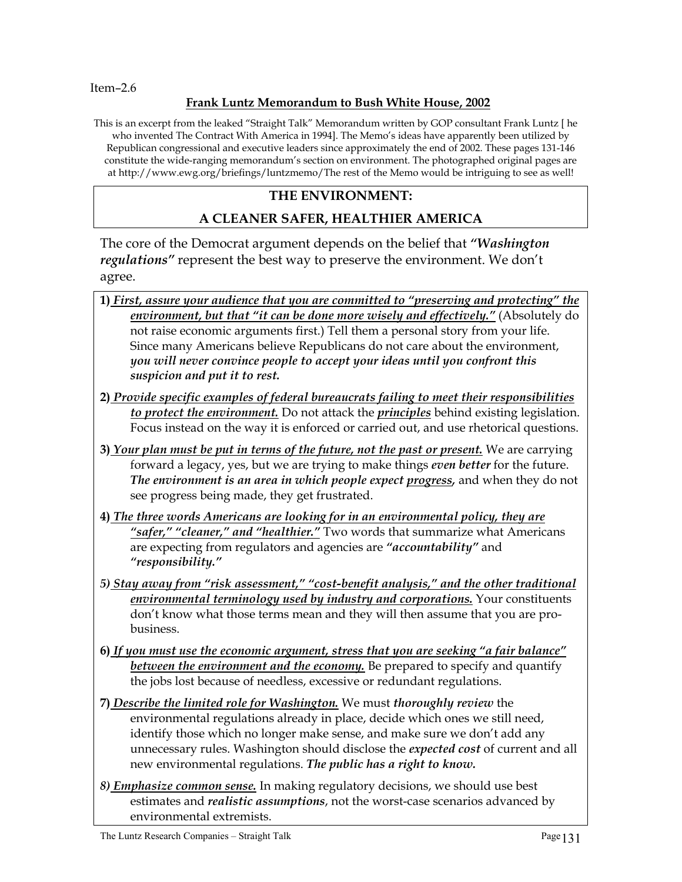Item–2.6

## **Frank Luntz Memorandum to Bush White House, 2002**

This is an excerpt from the leaked "Straight Talk" Memorandum written by GOP consultant Frank Luntz [ he who invented The Contract With America in 1994]. The Memo's ideas have apparently been utilized by Republican congressional and executive leaders since approximately the end of 2002. These pages 131-146 constitute the wide-ranging memorandum's section on environment. The photographed original pages are at http://www.ewg.org/briefings/luntzmemo/The rest of the Memo would be intriguing to see as well!

# **THE ENVIRONMENT:**

# **A CLEANER SAFER, HEALTHIER AMERICA**

The core of the Democrat argument depends on the belief that *"Washington regulations"* represent the best way to preserve the environment. We don't agree.

- **1)** *First, assure your audience that you are committed to "preserving and protecting" the environment, but that "it can be done more wisely and effectively."* (Absolutely do not raise economic arguments first.) Tell them a personal story from your life. Since many Americans believe Republicans do not care about the environment, *you will never convince people to accept your ideas until you confront this suspicion and put it to rest.*
- **2)** *Provide specific examples of federal bureaucrats failing to meet their responsibilities to protect the environment.* Do not attack the *principles* behind existing legislation. Focus instead on the way it is enforced or carried out, and use rhetorical questions.
- **3)** *Your plan must be put in terms of the future, not the past or present.* We are carrying forward a legacy, yes, but we are trying to make things *even better* for the future. *The environment is an area in which people expect progress,* and when they do not see progress being made, they get frustrated.
- **4)** *The three words Americans are looking for in an environmental policy, they are "safer," "cleaner," and "healthier."* Two words that summarize what Americans are expecting from regulators and agencies are *"accountability"* and *"responsibility."*
- *5) Stay away from "risk assessment," "cost-benefit analysis," and the other traditional environmental terminology used by industry and corporations.* Your constituents don't know what those terms mean and they will then assume that you are probusiness.
- **6)** *If you must use the economic argument, stress that you are seeking "a fair balance" between the environment and the economy.* Be prepared to specify and quantify the jobs lost because of needless, excessive or redundant regulations.
- **7)** *Describe the limited role for Washington.* We must *thoroughly review* the environmental regulations already in place, decide which ones we still need, identify those which no longer make sense, and make sure we don't add any unnecessary rules. Washington should disclose the *expected cost* of current and all new environmental regulations. *The public has a right to know.*
- *8) Emphasize common sense.* In making regulatory decisions, we should use best estimates and *realistic assumptions*, not the worst-case scenarios advanced by environmental extremists.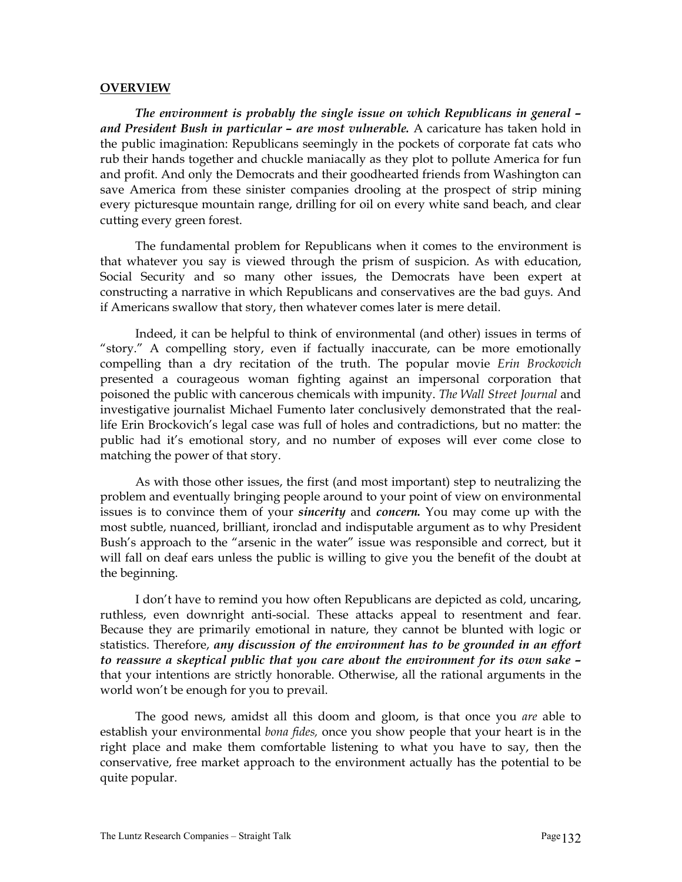#### **OVERVIEW**

*The environment is probably the single issue on which Republicans in general – and President Bush in particular – are most vulnerable.* A caricature has taken hold in the public imagination: Republicans seemingly in the pockets of corporate fat cats who rub their hands together and chuckle maniacally as they plot to pollute America for fun and profit. And only the Democrats and their goodhearted friends from Washington can save America from these sinister companies drooling at the prospect of strip mining every picturesque mountain range, drilling for oil on every white sand beach, and clear cutting every green forest.

The fundamental problem for Republicans when it comes to the environment is that whatever you say is viewed through the prism of suspicion. As with education, Social Security and so many other issues, the Democrats have been expert at constructing a narrative in which Republicans and conservatives are the bad guys. And if Americans swallow that story, then whatever comes later is mere detail.

Indeed, it can be helpful to think of environmental (and other) issues in terms of "story." A compelling story, even if factually inaccurate, can be more emotionally compelling than a dry recitation of the truth. The popular movie *Erin Brockovich* presented a courageous woman fighting against an impersonal corporation that poisoned the public with cancerous chemicals with impunity. *The Wall Street Journal* and investigative journalist Michael Fumento later conclusively demonstrated that the reallife Erin Brockovich's legal case was full of holes and contradictions, but no matter: the public had it's emotional story, and no number of exposes will ever come close to matching the power of that story.

As with those other issues, the first (and most important) step to neutralizing the problem and eventually bringing people around to your point of view on environmental issues is to convince them of your *sincerity* and *concern.* You may come up with the most subtle, nuanced, brilliant, ironclad and indisputable argument as to why President Bush's approach to the "arsenic in the water" issue was responsible and correct, but it will fall on deaf ears unless the public is willing to give you the benefit of the doubt at the beginning.

I don't have to remind you how often Republicans are depicted as cold, uncaring, ruthless, even downright anti-social. These attacks appeal to resentment and fear. Because they are primarily emotional in nature, they cannot be blunted with logic or statistics. Therefore, *any discussion of the environment has to be grounded in an effort to reassure a skeptical public that you care about the environment for its own sake –* that your intentions are strictly honorable. Otherwise, all the rational arguments in the world won't be enough for you to prevail.

The good news, amidst all this doom and gloom, is that once you *are* able to establish your environmental *bona fides,* once you show people that your heart is in the right place and make them comfortable listening to what you have to say, then the conservative, free market approach to the environment actually has the potential to be quite popular.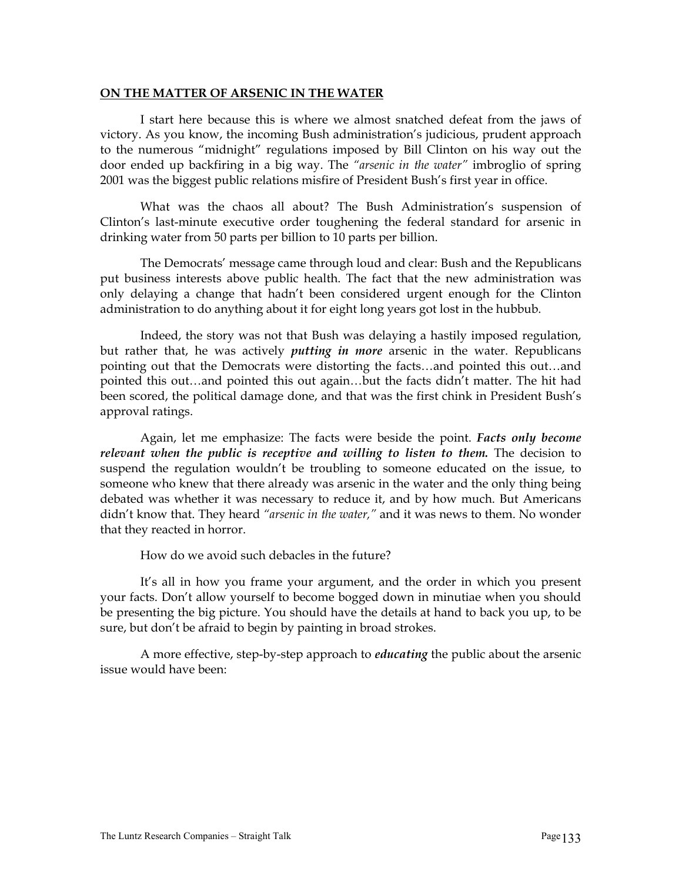#### **ON THE MATTER OF ARSENIC IN THE WATER**

I start here because this is where we almost snatched defeat from the jaws of victory. As you know, the incoming Bush administration's judicious, prudent approach to the numerous "midnight" regulations imposed by Bill Clinton on his way out the door ended up backfiring in a big way. The *"arsenic in the water"* imbroglio of spring 2001 was the biggest public relations misfire of President Bush's first year in office.

What was the chaos all about? The Bush Administration's suspension of Clinton's last-minute executive order toughening the federal standard for arsenic in drinking water from 50 parts per billion to 10 parts per billion.

The Democrats' message came through loud and clear: Bush and the Republicans put business interests above public health. The fact that the new administration was only delaying a change that hadn't been considered urgent enough for the Clinton administration to do anything about it for eight long years got lost in the hubbub.

Indeed, the story was not that Bush was delaying a hastily imposed regulation, but rather that, he was actively *putting in more* arsenic in the water. Republicans pointing out that the Democrats were distorting the facts…and pointed this out…and pointed this out…and pointed this out again…but the facts didn't matter. The hit had been scored, the political damage done, and that was the first chink in President Bush's approval ratings.

Again, let me emphasize: The facts were beside the point. *Facts only become relevant when the public is receptive and willing to listen to them.* The decision to suspend the regulation wouldn't be troubling to someone educated on the issue, to someone who knew that there already was arsenic in the water and the only thing being debated was whether it was necessary to reduce it, and by how much. But Americans didn't know that. They heard *"arsenic in the water,"* and it was news to them. No wonder that they reacted in horror.

How do we avoid such debacles in the future?

It's all in how you frame your argument, and the order in which you present your facts. Don't allow yourself to become bogged down in minutiae when you should be presenting the big picture. You should have the details at hand to back you up, to be sure, but don't be afraid to begin by painting in broad strokes.

A more effective, step-by-step approach to *educating* the public about the arsenic issue would have been: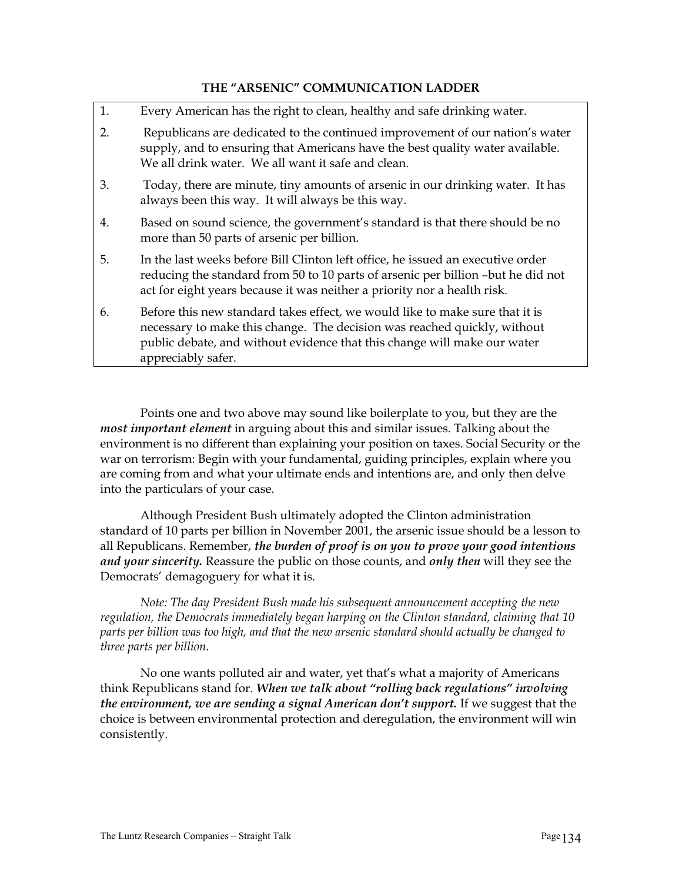### **THE "ARSENIC" COMMUNICATION LADDER**

1. Every American has the right to clean, healthy and safe drinking water. 2. Republicans are dedicated to the continued improvement of our nation's water supply, and to ensuring that Americans have the best quality water available. We all drink water. We all want it safe and clean. 3. Today, there are minute, tiny amounts of arsenic in our drinking water. It has always been this way. It will always be this way. 4. Based on sound science, the government's standard is that there should be no more than 50 parts of arsenic per billion. 5. In the last weeks before Bill Clinton left office, he issued an executive order reducing the standard from 50 to 10 parts of arsenic per billion –but he did not act for eight years because it was neither a priority nor a health risk. 6. Before this new standard takes effect, we would like to make sure that it is necessary to make this change. The decision was reached quickly, without public debate, and without evidence that this change will make our water

Points one and two above may sound like boilerplate to you, but they are the *most important element* in arguing about this and similar issues. Talking about the environment is no different than explaining your position on taxes. Social Security or the war on terrorism: Begin with your fundamental, guiding principles, explain where you are coming from and what your ultimate ends and intentions are, and only then delve into the particulars of your case.

Although President Bush ultimately adopted the Clinton administration standard of 10 parts per billion in November 2001, the arsenic issue should be a lesson to all Republicans. Remember, *the burden of proof is on you to prove your good intentions and your sincerity.* Reassure the public on those counts, and *only then* will they see the Democrats' demagoguery for what it is.

*Note: The day President Bush made his subsequent announcement accepting the new regulation, the Democrats immediately began harping on the Clinton standard, claiming that 10 parts per billion was too high, and that the new arsenic standard should actually be changed to three parts per billion.*

No one wants polluted air and water, yet that's what a majority of Americans think Republicans stand for. *When we talk about "rolling back regulations" involving the environment, we are sending a signal American don't support.* If we suggest that the choice is between environmental protection and deregulation, the environment will win consistently.

appreciably safer.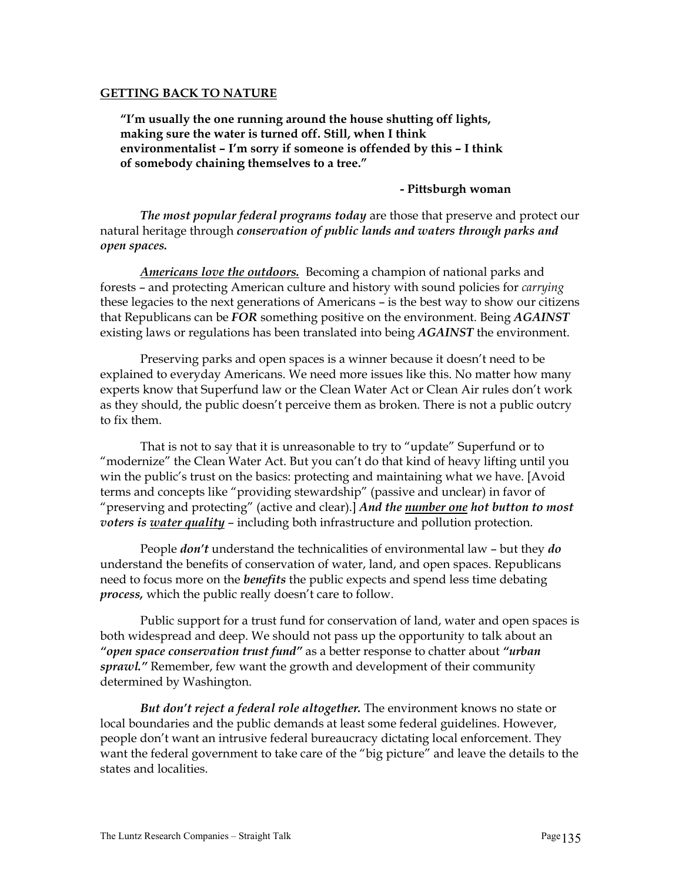### **GETTING BACK TO NATURE**

**"I'm usually the one running around the house shutting off lights, making sure the water is turned off. Still, when I think environmentalist – I'm sorry if someone is offended by this – I think of somebody chaining themselves to a tree."** 

### **- Pittsburgh woman**

*The most popular federal programs today* are those that preserve and protect our natural heritage through *conservation of public lands and waters through parks and open spaces.*

*Americans love the outdoors.* Becoming a champion of national parks and forests – and protecting American culture and history with sound policies for *carrying* these legacies to the next generations of Americans – is the best way to show our citizens that Republicans can be *FOR* something positive on the environment. Being *AGAINST* existing laws or regulations has been translated into being *AGAINST* the environment.

Preserving parks and open spaces is a winner because it doesn't need to be explained to everyday Americans. We need more issues like this. No matter how many experts know that Superfund law or the Clean Water Act or Clean Air rules don't work as they should, the public doesn't perceive them as broken. There is not a public outcry to fix them.

That is not to say that it is unreasonable to try to "update" Superfund or to "modernize" the Clean Water Act. But you can't do that kind of heavy lifting until you win the public's trust on the basics: protecting and maintaining what we have. [Avoid terms and concepts like "providing stewardship" (passive and unclear) in favor of "preserving and protecting" (active and clear).] *And the number one hot button to most voters is water quality* – including both infrastructure and pollution protection.

People *don't* understand the technicalities of environmental law – but they *do* understand the benefits of conservation of water, land, and open spaces. Republicans need to focus more on the *benefits* the public expects and spend less time debating *process,* which the public really doesn't care to follow.

Public support for a trust fund for conservation of land, water and open spaces is both widespread and deep. We should not pass up the opportunity to talk about an *"open space conservation trust fund"* as a better response to chatter about *"urban sprawl."* Remember, few want the growth and development of their community determined by Washington.

*But don't reject a federal role altogether.* The environment knows no state or local boundaries and the public demands at least some federal guidelines. However, people don't want an intrusive federal bureaucracy dictating local enforcement. They want the federal government to take care of the "big picture" and leave the details to the states and localities.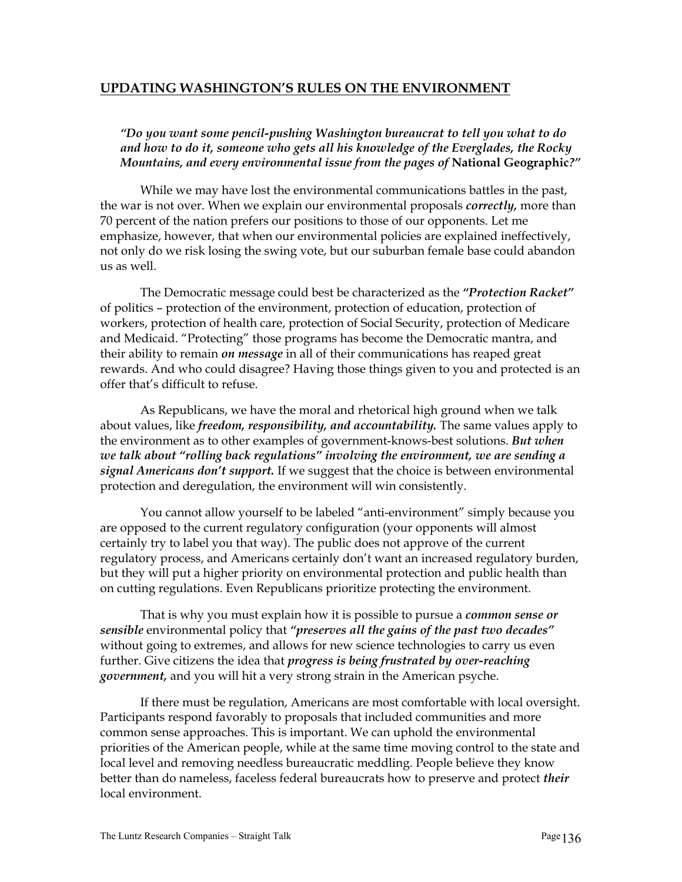## **UPDATING WASHINGTON'S RULES ON THE ENVIRONMENT**

*"Do you want some pencil-pushing Washington bureaucrat to tell you what to do and how to do it, someone who gets all his knowledge of the Everglades, the Rocky Mountains, and every environmental issue from the pages of* **National Geographic***?"* 

While we may have lost the environmental communications battles in the past, the war is not over. When we explain our environmental proposals *correctly,* more than 70 percent of the nation prefers our positions to those of our opponents. Let me emphasize, however, that when our environmental policies are explained ineffectively, not only do we risk losing the swing vote, but our suburban female base could abandon us as well.

The Democratic message could best be characterized as the *"Protection Racket"* of politics – protection of the environment, protection of education, protection of workers, protection of health care, protection of Social Security, protection of Medicare and Medicaid. "Protecting" those programs has become the Democratic mantra, and their ability to remain *on message* in all of their communications has reaped great rewards. And who could disagree? Having those things given to you and protected is an offer that's difficult to refuse.

As Republicans, we have the moral and rhetorical high ground when we talk about values, like *freedom, responsibility, and accountability.* The same values apply to the environment as to other examples of government-knows-best solutions. *But when we talk about "rolling back regulations" involving the environment, we are sending a signal Americans don't support.* If we suggest that the choice is between environmental protection and deregulation, the environment will win consistently.

You cannot allow yourself to be labeled "anti-environment" simply because you are opposed to the current regulatory configuration (your opponents will almost certainly try to label you that way). The public does not approve of the current regulatory process, and Americans certainly don't want an increased regulatory burden, but they will put a higher priority on environmental protection and public health than on cutting regulations. Even Republicans prioritize protecting the environment.

That is why you must explain how it is possible to pursue a *common sense or sensible* environmental policy that *"preserves all the gains of the past two decades"*  without going to extremes, and allows for new science technologies to carry us even further. Give citizens the idea that *progress is being frustrated by over-reaching government,* and you will hit a very strong strain in the American psyche.

If there must be regulation, Americans are most comfortable with local oversight. Participants respond favorably to proposals that included communities and more common sense approaches. This is important. We can uphold the environmental priorities of the American people, while at the same time moving control to the state and local level and removing needless bureaucratic meddling. People believe they know better than do nameless, faceless federal bureaucrats how to preserve and protect *their*  local environment.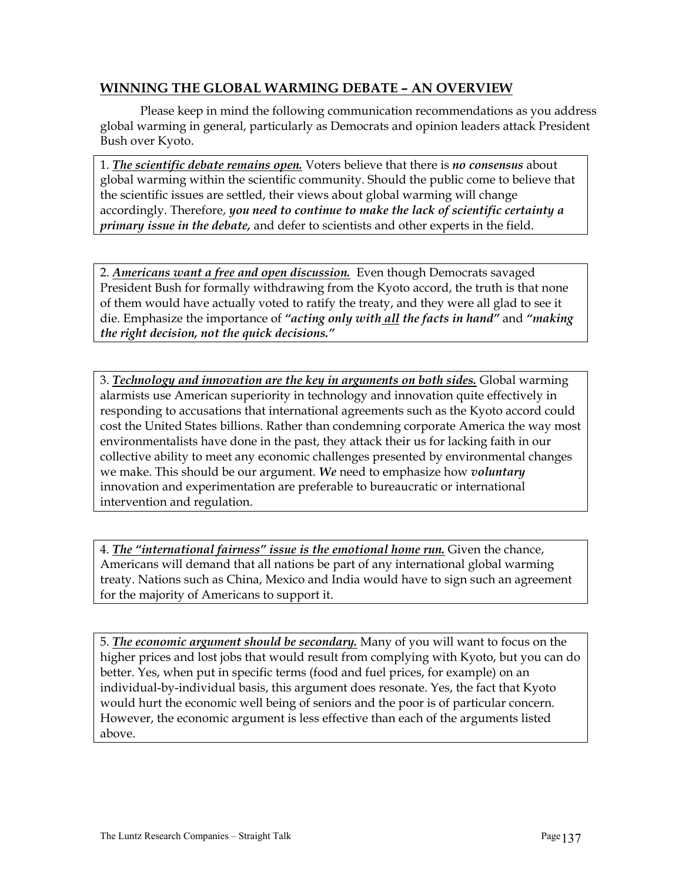## **WINNING THE GLOBAL WARMING DEBATE – AN OVERVIEW**

Please keep in mind the following communication recommendations as you address global warming in general, particularly as Democrats and opinion leaders attack President Bush over Kyoto.

1. *The scientific debate remains open.* Voters believe that there is *no consensus* about global warming within the scientific community. Should the public come to believe that the scientific issues are settled, their views about global warming will change accordingly. Therefore, *you need to continue to make the lack of scientific certainty a primary issue in the debate,* and defer to scientists and other experts in the field.

2. *Americans want a free and open discussion.* Even though Democrats savaged President Bush for formally withdrawing from the Kyoto accord, the truth is that none of them would have actually voted to ratify the treaty, and they were all glad to see it die. Emphasize the importance of *"acting only with all the facts in hand"* and *"making the right decision, not the quick decisions."* 

3. *Technology and innovation are the key in arguments on both sides.* Global warming alarmists use American superiority in technology and innovation quite effectively in responding to accusations that international agreements such as the Kyoto accord could cost the United States billions. Rather than condemning corporate America the way most environmentalists have done in the past, they attack their us for lacking faith in our collective ability to meet any economic challenges presented by environmental changes we make. This should be our argument. *We* need to emphasize how *voluntary*  innovation and experimentation are preferable to bureaucratic or international intervention and regulation.

4. *The "international fairness" issue is the emotional home run.* Given the chance, Americans will demand that all nations be part of any international global warming treaty. Nations such as China, Mexico and India would have to sign such an agreement for the majority of Americans to support it.

5. *The economic argument should be secondary.* Many of you will want to focus on the higher prices and lost jobs that would result from complying with Kyoto, but you can do better. Yes, when put in specific terms (food and fuel prices, for example) on an individual-by-individual basis, this argument does resonate. Yes, the fact that Kyoto would hurt the economic well being of seniors and the poor is of particular concern. However, the economic argument is less effective than each of the arguments listed above.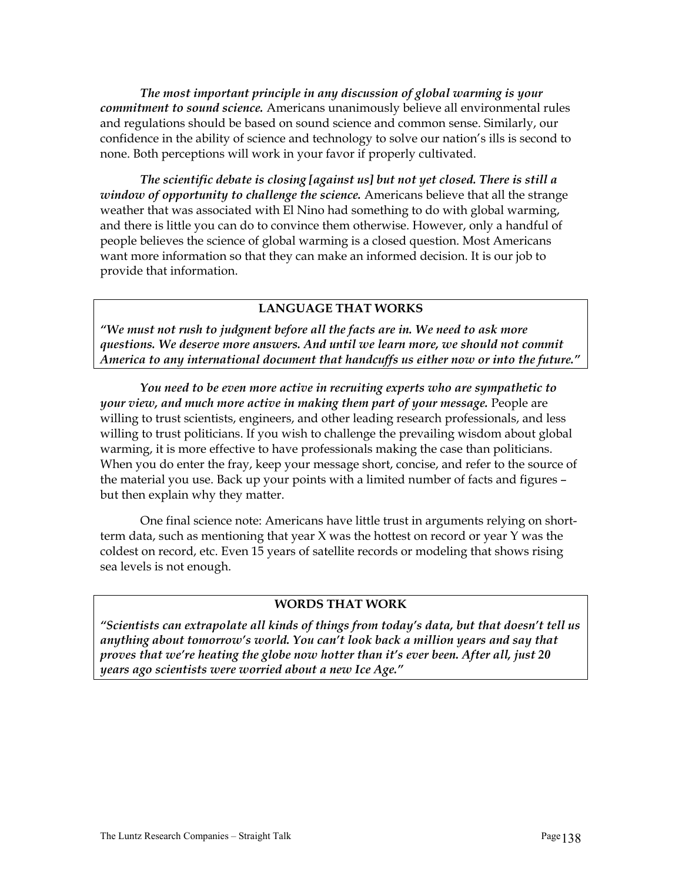*The most important principle in any discussion of global warming is your commitment to sound science.* Americans unanimously believe all environmental rules and regulations should be based on sound science and common sense. Similarly, our confidence in the ability of science and technology to solve our nation's ills is second to none. Both perceptions will work in your favor if properly cultivated.

*The scientific debate is closing [against us] but not yet closed. There is still a window of opportunity to challenge the science.* Americans believe that all the strange weather that was associated with El Nino had something to do with global warming, and there is little you can do to convince them otherwise. However, only a handful of people believes the science of global warming is a closed question. Most Americans want more information so that they can make an informed decision. It is our job to provide that information.

#### **LANGUAGE THAT WORKS**

*"We must not rush to judgment before all the facts are in. We need to ask more questions. We deserve more answers. And until we learn more, we should not commit America to any international document that handcuffs us either now or into the future."* 

*You need to be even more active in recruiting experts who are sympathetic to your view, and much more active in making them part of your message.* People are willing to trust scientists, engineers, and other leading research professionals, and less willing to trust politicians. If you wish to challenge the prevailing wisdom about global warming, it is more effective to have professionals making the case than politicians. When you do enter the fray, keep your message short, concise, and refer to the source of the material you use. Back up your points with a limited number of facts and figures – but then explain why they matter.

One final science note: Americans have little trust in arguments relying on shortterm data, such as mentioning that year X was the hottest on record or year Y was the coldest on record, etc. Even 15 years of satellite records or modeling that shows rising sea levels is not enough.

## **WORDS THAT WORK**

*"Scientists can extrapolate all kinds of things from today's data, but that doesn't tell us anything about tomorrow's world. You can't look back a million years and say that proves that we're heating the globe now hotter than it's ever been. After all, just 20 years ago scientists were worried about a new Ice Age."*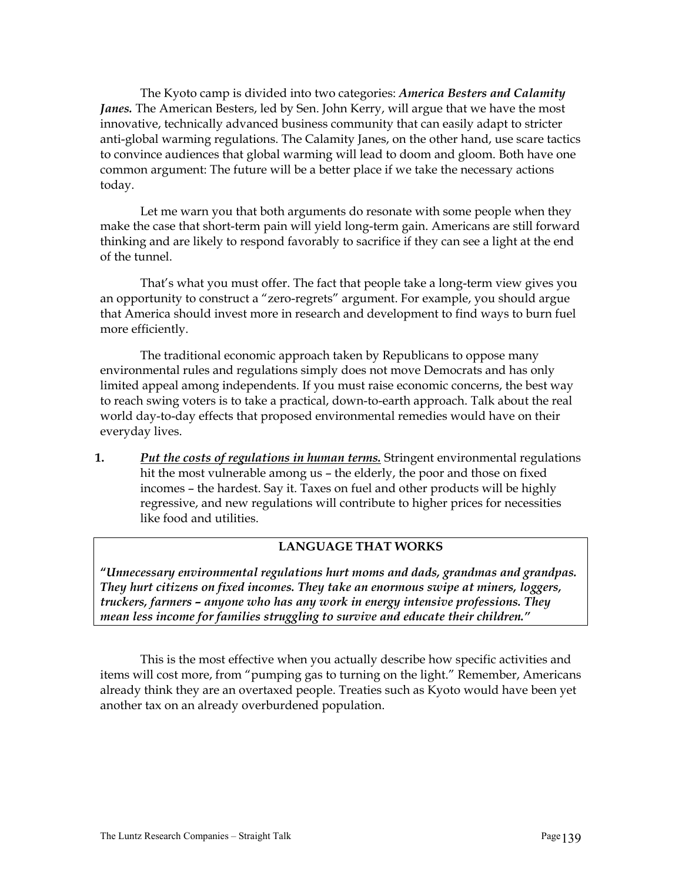The Kyoto camp is divided into two categories: *America Besters and Calamity Janes.* The American Besters, led by Sen. John Kerry, will argue that we have the most innovative, technically advanced business community that can easily adapt to stricter anti-global warming regulations. The Calamity Janes, on the other hand, use scare tactics to convince audiences that global warming will lead to doom and gloom. Both have one common argument: The future will be a better place if we take the necessary actions today.

Let me warn you that both arguments do resonate with some people when they make the case that short-term pain will yield long-term gain. Americans are still forward thinking and are likely to respond favorably to sacrifice if they can see a light at the end of the tunnel.

That's what you must offer. The fact that people take a long-term view gives you an opportunity to construct a "zero-regrets" argument. For example, you should argue that America should invest more in research and development to find ways to burn fuel more efficiently.

The traditional economic approach taken by Republicans to oppose many environmental rules and regulations simply does not move Democrats and has only limited appeal among independents. If you must raise economic concerns, the best way to reach swing voters is to take a practical, down-to-earth approach. Talk about the real world day-to-day effects that proposed environmental remedies would have on their everyday lives.

**1.** *Put the costs of regulations in human terms.* Stringent environmental regulations hit the most vulnerable among us – the elderly, the poor and those on fixed incomes – the hardest. Say it. Taxes on fuel and other products will be highly regressive, and new regulations will contribute to higher prices for necessities like food and utilities.

## **LANGUAGE THAT WORKS**

**"***Unnecessary environmental regulations hurt moms and dads, grandmas and grandpas. They hurt citizens on fixed incomes. They take an enormous swipe at miners, loggers, truckers, farmers – anyone who has any work in energy intensive professions. They mean less income for families struggling to survive and educate their children."* 

This is the most effective when you actually describe how specific activities and items will cost more, from "pumping gas to turning on the light." Remember, Americans already think they are an overtaxed people. Treaties such as Kyoto would have been yet another tax on an already overburdened population.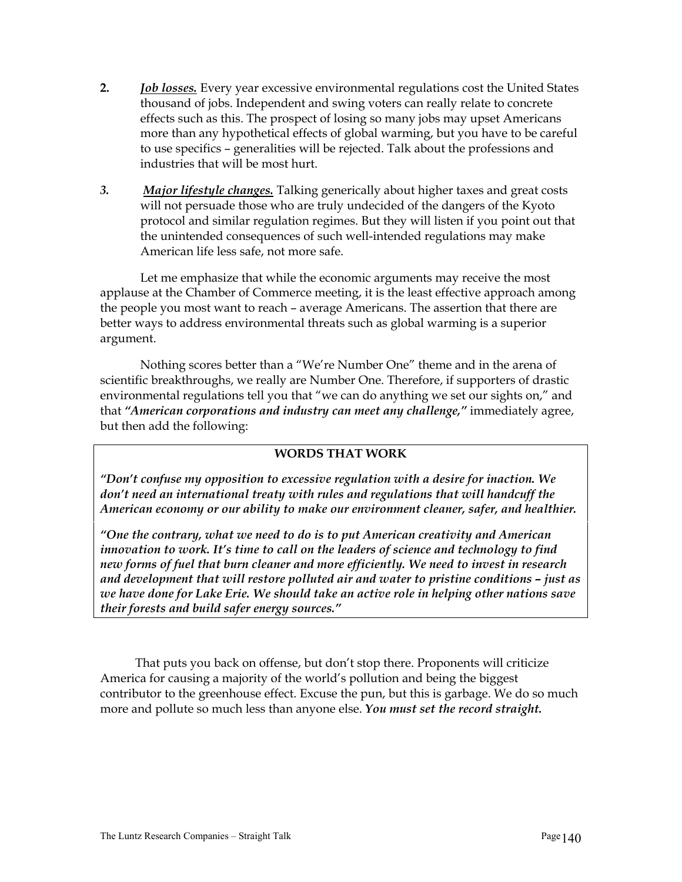- **2.** *Job losses.* Every year excessive environmental regulations cost the United States thousand of jobs. Independent and swing voters can really relate to concrete effects such as this. The prospect of losing so many jobs may upset Americans more than any hypothetical effects of global warming, but you have to be careful to use specifics – generalities will be rejected. Talk about the professions and industries that will be most hurt.
- *3. Major lifestyle changes.* Talking generically about higher taxes and great costs will not persuade those who are truly undecided of the dangers of the Kyoto protocol and similar regulation regimes. But they will listen if you point out that the unintended consequences of such well-intended regulations may make American life less safe, not more safe.

Let me emphasize that while the economic arguments may receive the most applause at the Chamber of Commerce meeting, it is the least effective approach among the people you most want to reach – average Americans. The assertion that there are better ways to address environmental threats such as global warming is a superior argument.

Nothing scores better than a "We're Number One" theme and in the arena of scientific breakthroughs, we really are Number One. Therefore, if supporters of drastic environmental regulations tell you that "we can do anything we set our sights on," and that *"American corporations and industry can meet any challenge,"* immediately agree, but then add the following:

## **WORDS THAT WORK**

*"Don't confuse my opposition to excessive regulation with a desire for inaction. We don't need an international treaty with rules and regulations that will handcuff the American economy or our ability to make our environment cleaner, safer, and healthier.* 

*"One the contrary, what we need to do is to put American creativity and American innovation to work. It's time to call on the leaders of science and technology to find new forms of fuel that burn cleaner and more efficiently. We need to invest in research and development that will restore polluted air and water to pristine conditions – just as we have done for Lake Erie. We should take an active role in helping other nations save their forests and build safer energy sources."* 

That puts you back on offense, but don't stop there. Proponents will criticize America for causing a majority of the world's pollution and being the biggest contributor to the greenhouse effect. Excuse the pun, but this is garbage. We do so much more and pollute so much less than anyone else. *You must set the record straight.*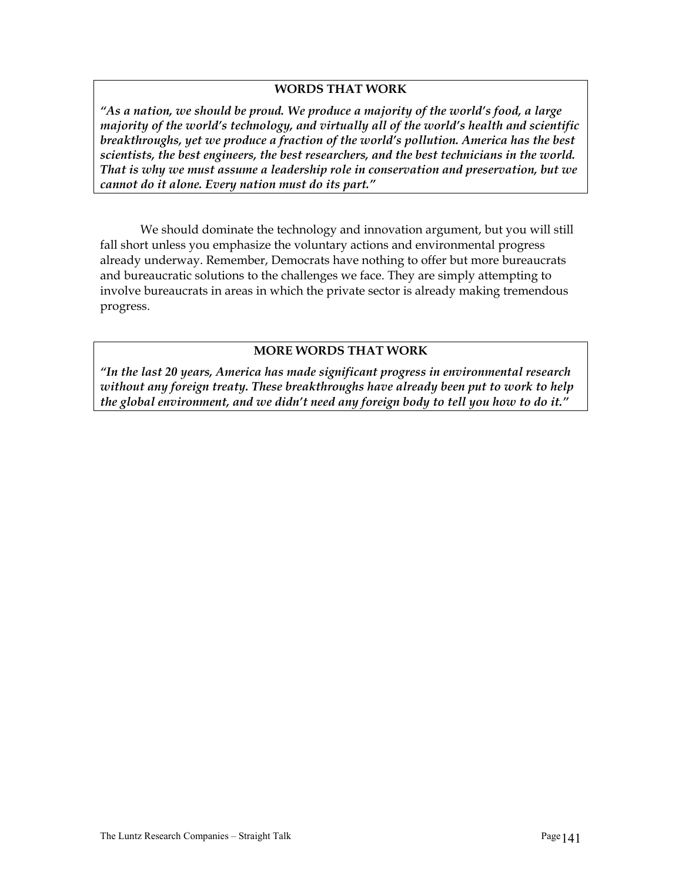## **WORDS THAT WORK**

*"As a nation, we should be proud. We produce a majority of the world's food, a large majority of the world's technology, and virtually all of the world's health and scientific breakthroughs, yet we produce a fraction of the world's pollution. America has the best scientists, the best engineers, the best researchers, and the best technicians in the world. That is why we must assume a leadership role in conservation and preservation, but we cannot do it alone. Every nation must do its part."* 

We should dominate the technology and innovation argument, but you will still fall short unless you emphasize the voluntary actions and environmental progress already underway. Remember, Democrats have nothing to offer but more bureaucrats and bureaucratic solutions to the challenges we face. They are simply attempting to involve bureaucrats in areas in which the private sector is already making tremendous progress.

## **MORE WORDS THAT WORK**

*"In the last 20 years, America has made significant progress in environmental research without any foreign treaty. These breakthroughs have already been put to work to help the global environment, and we didn't need any foreign body to tell you how to do it."*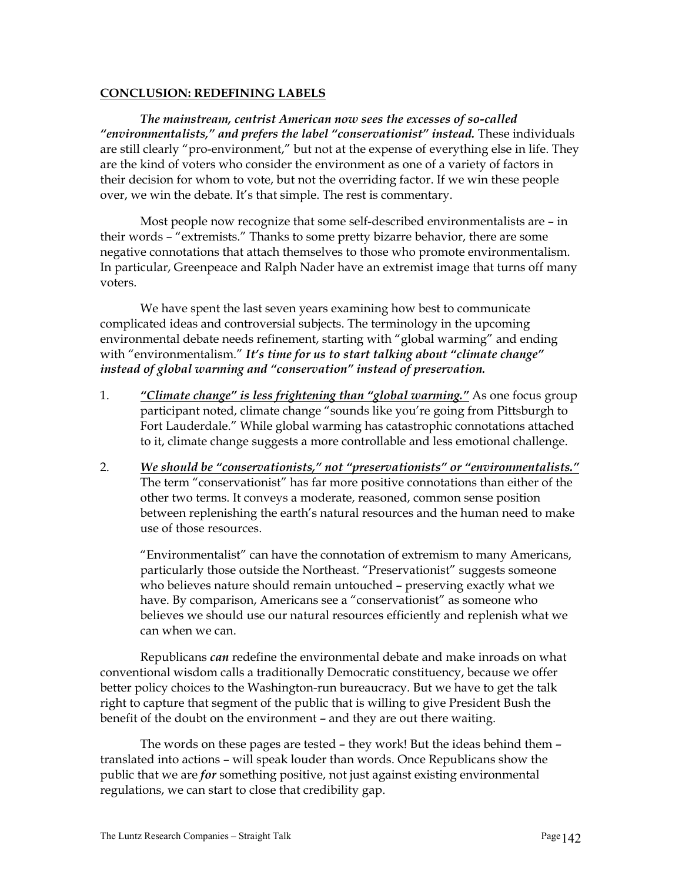#### **CONCLUSION: REDEFINING LABELS**

*The mainstream, centrist American now sees the excesses of so-called*  "environmentalists," and prefers the label "conservationist" instead. These individuals are still clearly "pro-environment," but not at the expense of everything else in life. They are the kind of voters who consider the environment as one of a variety of factors in their decision for whom to vote, but not the overriding factor. If we win these people over, we win the debate. It's that simple. The rest is commentary.

Most people now recognize that some self-described environmentalists are – in their words – "extremists." Thanks to some pretty bizarre behavior, there are some negative connotations that attach themselves to those who promote environmentalism. In particular, Greenpeace and Ralph Nader have an extremist image that turns off many voters.

We have spent the last seven years examining how best to communicate complicated ideas and controversial subjects. The terminology in the upcoming environmental debate needs refinement, starting with "global warming" and ending with "environmentalism." *It's time for us to start talking about "climate change" instead of global warming and "conservation" instead of preservation.*

- 1. *"Climate change" is less frightening than "global warming."* As one focus group participant noted, climate change "sounds like you're going from Pittsburgh to Fort Lauderdale." While global warming has catastrophic connotations attached to it, climate change suggests a more controllable and less emotional challenge.
- 2. *We should be "conservationists," not "preservationists" or "environmentalists."* The term "conservationist" has far more positive connotations than either of the other two terms. It conveys a moderate, reasoned, common sense position between replenishing the earth's natural resources and the human need to make use of those resources.

"Environmentalist" can have the connotation of extremism to many Americans, particularly those outside the Northeast. "Preservationist" suggests someone who believes nature should remain untouched – preserving exactly what we have. By comparison, Americans see a "conservationist" as someone who believes we should use our natural resources efficiently and replenish what we can when we can.

 Republicans *can* redefine the environmental debate and make inroads on what conventional wisdom calls a traditionally Democratic constituency, because we offer better policy choices to the Washington-run bureaucracy. But we have to get the talk right to capture that segment of the public that is willing to give President Bush the benefit of the doubt on the environment – and they are out there waiting.

The words on these pages are tested – they work! But the ideas behind them – translated into actions – will speak louder than words. Once Republicans show the public that we are *for* something positive, not just against existing environmental regulations, we can start to close that credibility gap.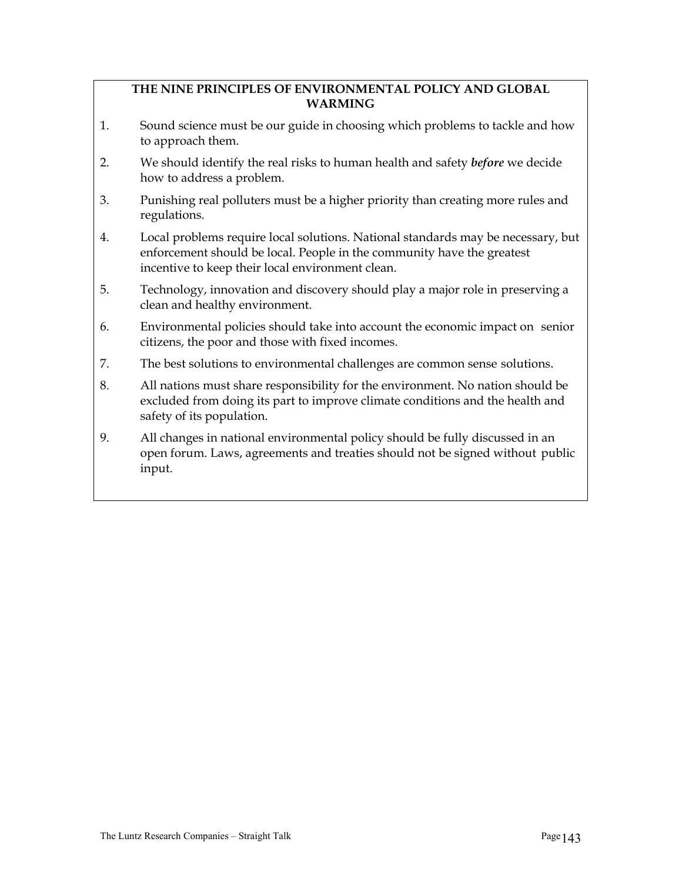## **THE NINE PRINCIPLES OF ENVIRONMENTAL POLICY AND GLOBAL WARMING**

- 1. Sound science must be our guide in choosing which problems to tackle and how to approach them.
- 2. We should identify the real risks to human health and safety *before* we decide how to address a problem.
- 3. Punishing real polluters must be a higher priority than creating more rules and regulations.
- 4. Local problems require local solutions. National standards may be necessary, but enforcement should be local. People in the community have the greatest incentive to keep their local environment clean.
- 5. Technology, innovation and discovery should play a major role in preserving a clean and healthy environment.
- 6. Environmental policies should take into account the economic impact on senior citizens, the poor and those with fixed incomes.
- 7. The best solutions to environmental challenges are common sense solutions.
- 8. All nations must share responsibility for the environment. No nation should be excluded from doing its part to improve climate conditions and the health and safety of its population.
- 9. All changes in national environmental policy should be fully discussed in an open forum. Laws, agreements and treaties should not be signed without public input.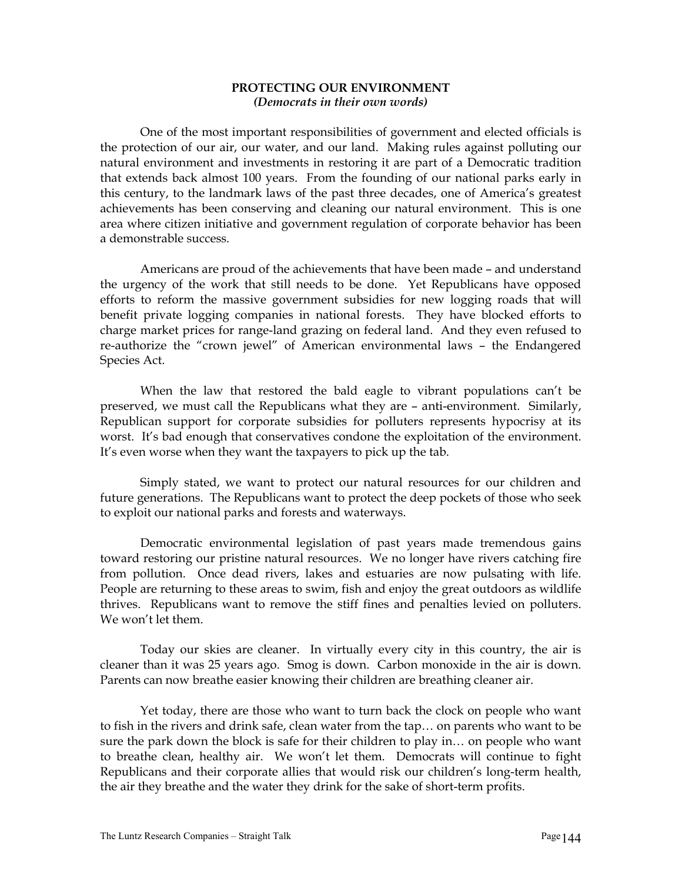## **PROTECTING OUR ENVIRONMENT**  *(Democrats in their own words)*

One of the most important responsibilities of government and elected officials is the protection of our air, our water, and our land. Making rules against polluting our natural environment and investments in restoring it are part of a Democratic tradition that extends back almost 100 years. From the founding of our national parks early in this century, to the landmark laws of the past three decades, one of America's greatest achievements has been conserving and cleaning our natural environment. This is one area where citizen initiative and government regulation of corporate behavior has been a demonstrable success.

Americans are proud of the achievements that have been made – and understand the urgency of the work that still needs to be done. Yet Republicans have opposed efforts to reform the massive government subsidies for new logging roads that will benefit private logging companies in national forests. They have blocked efforts to charge market prices for range-land grazing on federal land. And they even refused to re-authorize the "crown jewel" of American environmental laws – the Endangered Species Act.

When the law that restored the bald eagle to vibrant populations can't be preserved, we must call the Republicans what they are – anti-environment. Similarly, Republican support for corporate subsidies for polluters represents hypocrisy at its worst. It's bad enough that conservatives condone the exploitation of the environment. It's even worse when they want the taxpayers to pick up the tab.

Simply stated, we want to protect our natural resources for our children and future generations. The Republicans want to protect the deep pockets of those who seek to exploit our national parks and forests and waterways.

Democratic environmental legislation of past years made tremendous gains toward restoring our pristine natural resources. We no longer have rivers catching fire from pollution. Once dead rivers, lakes and estuaries are now pulsating with life. People are returning to these areas to swim, fish and enjoy the great outdoors as wildlife thrives. Republicans want to remove the stiff fines and penalties levied on polluters. We won't let them.

Today our skies are cleaner. In virtually every city in this country, the air is cleaner than it was 25 years ago. Smog is down. Carbon monoxide in the air is down. Parents can now breathe easier knowing their children are breathing cleaner air.

Yet today, there are those who want to turn back the clock on people who want to fish in the rivers and drink safe, clean water from the tap… on parents who want to be sure the park down the block is safe for their children to play in… on people who want to breathe clean, healthy air. We won't let them. Democrats will continue to fight Republicans and their corporate allies that would risk our children's long-term health, the air they breathe and the water they drink for the sake of short-term profits.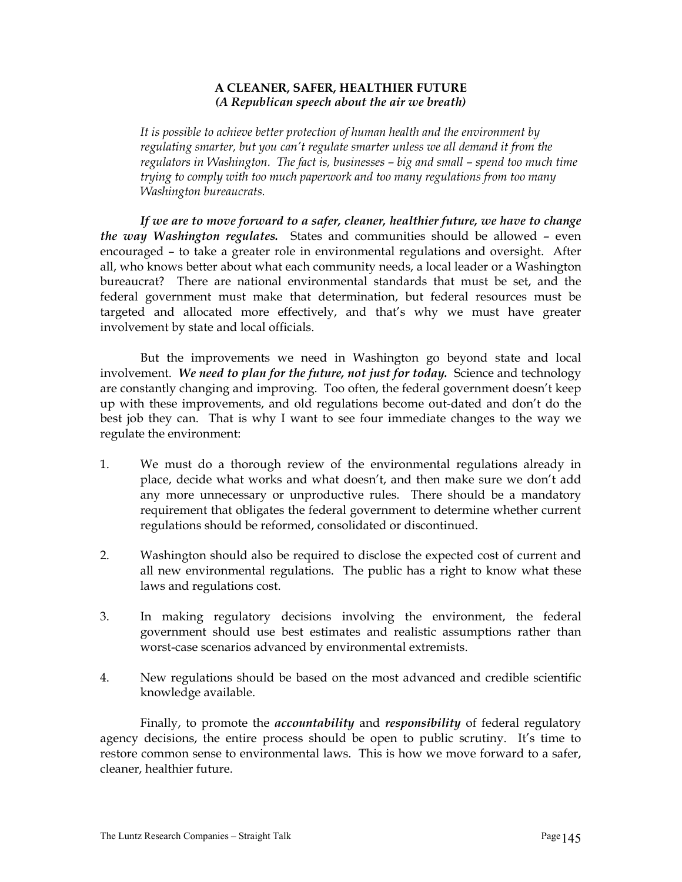## **A CLEANER, SAFER, HEALTHIER FUTURE** *(A Republican speech about the air we breath)*

*It is possible to achieve better protection of human health and the environment by regulating smarter, but you can't regulate smarter unless we all demand it from the regulators in Washington. The fact is, businesses – big and small – spend too much time trying to comply with too much paperwork and too many regulations from too many Washington bureaucrats.* 

*If we are to move forward to a safer, cleaner, healthier future, we have to change the way Washington regulates.* States and communities should be allowed – even encouraged – to take a greater role in environmental regulations and oversight. After all, who knows better about what each community needs, a local leader or a Washington bureaucrat? There are national environmental standards that must be set, and the federal government must make that determination, but federal resources must be targeted and allocated more effectively, and that's why we must have greater involvement by state and local officials.

But the improvements we need in Washington go beyond state and local involvement. *We need to plan for the future, not just for today.* Science and technology are constantly changing and improving. Too often, the federal government doesn't keep up with these improvements, and old regulations become out-dated and don't do the best job they can. That is why I want to see four immediate changes to the way we regulate the environment:

- 1. We must do a thorough review of the environmental regulations already in place, decide what works and what doesn't, and then make sure we don't add any more unnecessary or unproductive rules. There should be a mandatory requirement that obligates the federal government to determine whether current regulations should be reformed, consolidated or discontinued.
- 2. Washington should also be required to disclose the expected cost of current and all new environmental regulations. The public has a right to know what these laws and regulations cost.
- 3. In making regulatory decisions involving the environment, the federal government should use best estimates and realistic assumptions rather than worst-case scenarios advanced by environmental extremists.
- 4. New regulations should be based on the most advanced and credible scientific knowledge available.

Finally, to promote the *accountability* and *responsibility* of federal regulatory agency decisions, the entire process should be open to public scrutiny. It's time to restore common sense to environmental laws. This is how we move forward to a safer, cleaner, healthier future.